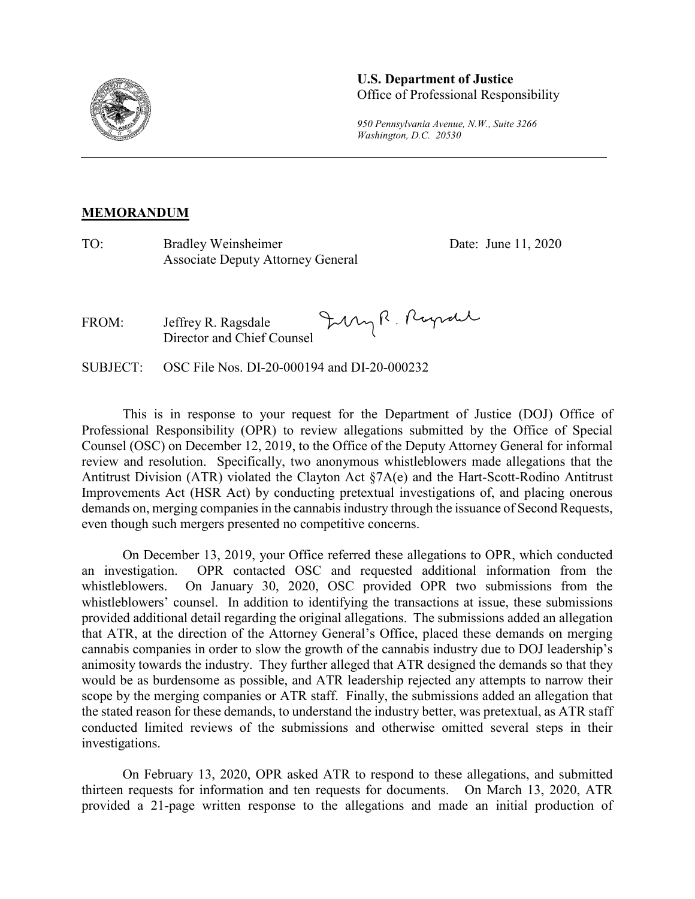

## **U.S. Department of Justice**  Office of Professional Responsibility

*950 Pennsylvania Avenue, N.W., Suite 3266 Washington, D.C. 20530*

## **MEMORANDUM**

TO: Bradley Weinsheimer Date: June 11, 2020 Associate Deputy Attorney General

July R. Rayrall FROM: Jeffrey R. Ragsdale Director and Chief Counsel

SUBJECT: OSC File Nos. DI-20-000194 and DI-20-000232

This is in response to your request for the Department of Justice (DOJ) Office of Professional Responsibility (OPR) to review allegations submitted by the Office of Special Counsel (OSC) on December 12, 2019, to the Office of the Deputy Attorney General for informal review and resolution. Specifically, two anonymous whistleblowers made allegations that the Antitrust Division (ATR) violated the Clayton Act §7A(e) and the Hart-Scott-Rodino Antitrust Improvements Act (HSR Act) by conducting pretextual investigations of, and placing onerous demands on, merging companies in the cannabis industry through the issuance of Second Requests, even though such mergers presented no competitive concerns.

On December 13, 2019, your Office referred these allegations to OPR, which conducted an investigation. OPR contacted OSC and requested additional information from the whistleblowers. On January 30, 2020, OSC provided OPR two submissions from the whistleblowers' counsel. In addition to identifying the transactions at issue, these submissions provided additional detail regarding the original allegations. The submissions added an allegation that ATR, at the direction of the Attorney General's Office, placed these demands on merging cannabis companies in order to slow the growth of the cannabis industry due to DOJ leadership's animosity towards the industry. They further alleged that ATR designed the demands so that they would be as burdensome as possible, and ATR leadership rejected any attempts to narrow their scope by the merging companies or ATR staff. Finally, the submissions added an allegation that the stated reason for these demands, to understand the industry better, was pretextual, as ATR staff conducted limited reviews of the submissions and otherwise omitted several steps in their investigations.

On February 13, 2020, OPR asked ATR to respond to these allegations, and submitted thirteen requests for information and ten requests for documents. On March 13, 2020, ATR provided a 21-page written response to the allegations and made an initial production of